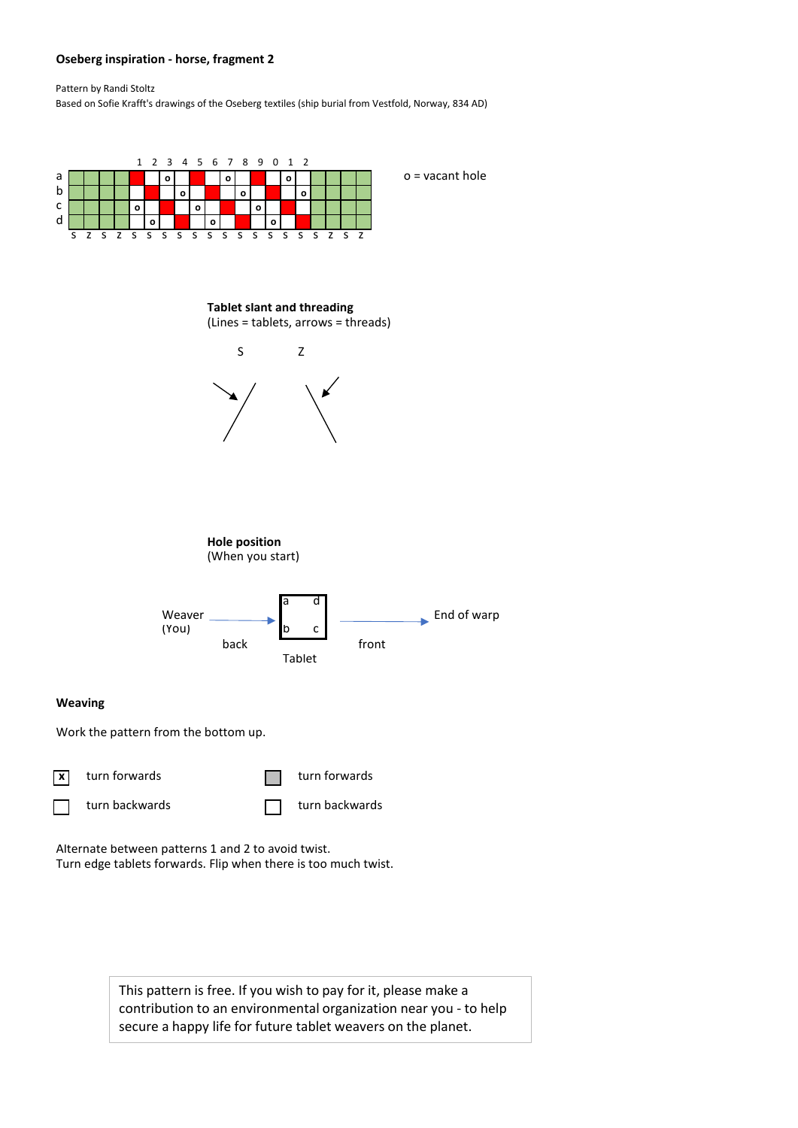## **Oseberg inspiration - horse, fragment 2**

Pattern by Randi Stoltz

Based on Sofie Krafft's drawings of the Oseberg textiles (ship burial from Vestfold, Norway, 834 AD)



Alternate between patterns 1 and 2 to avoid twist. Turn edge tablets forwards. Flip when there is too much twist.

> This pattern is free. If you wish to pay for it, please make a contribution to an environmental organization near you - to help secure a happy life for future tablet weavers on the planet.